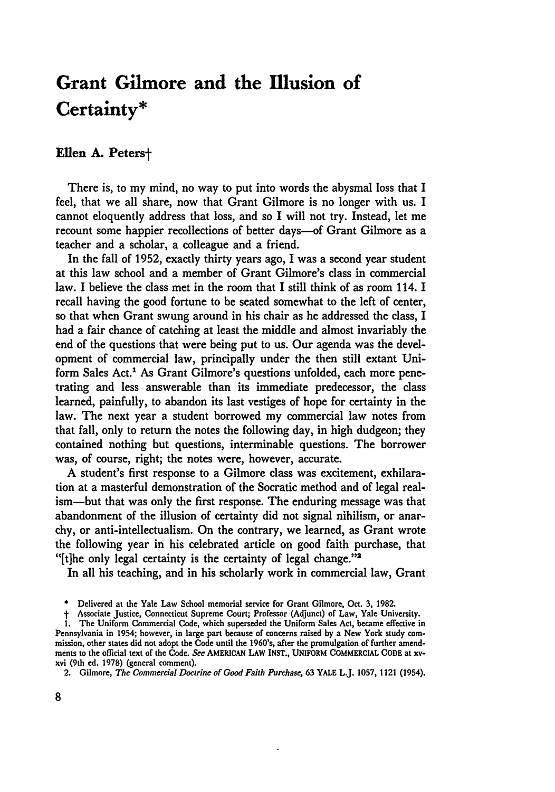# **Grant Gilmore and the Illusion of Certainty\***

## Ellen A. Peters<sup>+</sup>

There is, to my mind, no way to put into words the abysmal loss that I feel, that we all share, now that Grant Gilmore is no longer with us. I cannot eloquently address that loss, and so I will not try. Instead, let me recount some happier recollections of better days—of Grant Gilmore as a teacher and a scholar, a colleague and a friend.

In the fall of **1952,** exactly thirty years ago, I was a second year student at this law school and a member of Grant Gilmore's class in commercial law. I believe the class met in the room that I still think of as room 114. **I** recall having the good fortune to be seated somewhat to the left of center, so that when Grant swung around in his chair as he addressed the class, I had a fair chance of catching at least the middle and almost invariably the end of the questions that were being put to us. Our agenda was the development of commercial law, principally under the then still extant Uniform Sales Act.' As Grant Gilmore's questions unfolded, each more penetrating and less answerable than its immediate predecessor, the class learned, painfully, to abandon its last vestiges of hope for certainty in the law. The next year a student borrowed my commercial law notes from that fall, only to return the notes the following day, in high dudgeon; they contained nothing but questions, interminable questions. The borrower was, of course, right; the notes were, however, accurate.

**A** student's first response to a Gilmore class was excitement, exhilaration at a masterful demonstration of the Socratic method and of legal realism-but that was only the first response. The enduring message was that abandonment of the illusion of certainty did not signal nihilism, or anarchy, or anti-intellectualism. On the contrary, we learned, as Grant wrote the following year in his celebrated article on good faith purchase, that "[t]he only legal certainty is the certainty of legal change." $\frac{2}{3}$ 

In all his teaching, and in his scholarly work in commercial law, Grant

**<sup>\*</sup>** Delivered at the Yale Law School memorial service for Grant Gilmore, Oct. **3,** 1982.

**t** Associate Justice, Connecticut Supreme Court; Professor (Adjunct) of Law, Yale University.

**<sup>1.</sup>** The Uniform Commercial Code, which superseded the Uniform Sales Act, became effective in Pennsylvania in 1954; however, in large part because of concerns raised **by** a New York study commission, other states did not adopt the Code until the 1960's, after the promulgation of further amendments to the official text of the Code. *See* **AMERICAN** LAW **INST., UNIFORM COMMERCIAL CODE** at xvxvi (9th **ed. 1978)** (general comment).

**<sup>2.</sup>** Gilmore, *The Commercial Doctrine of Good Faith Purchase,* **63 YALE L.J. 1057, 1121 (1954).**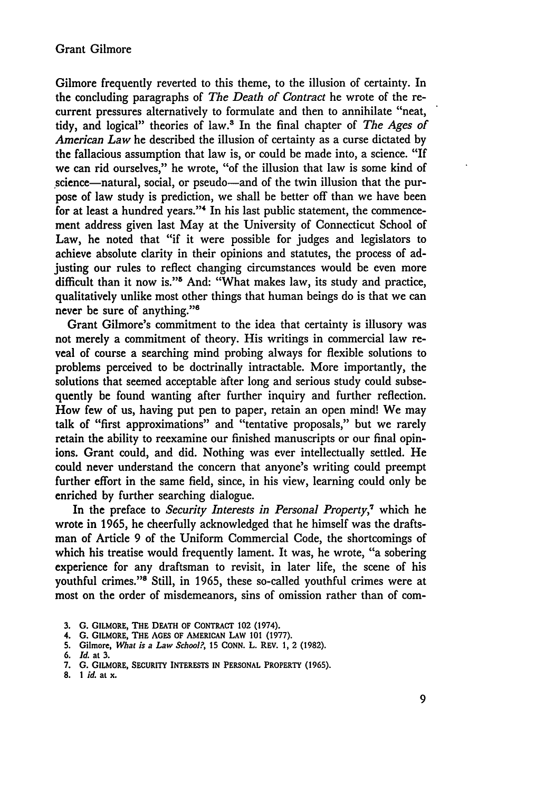Gilmore frequently reverted to this theme, to the illusion of certainty. In the concluding paragraphs of *The Death of Contract* he wrote of the recurrent pressures alternatively to formulate and then to annihilate "neat, tidy, and logical" theories of law.3 In the final chapter of *The Ages of American Law* he described the illusion of certainty as a curse dictated by the fallacious assumption that law is, or could be made into, a science. "If we can rid ourselves," he wrote, "of the illusion that law is some kind of science—natural, social, or pseudo—and of the twin illusion that the purpose of law study is prediction, we shall be better off than we have been for at least a hundred years."4 In his last public statement, the commencement address given last May at the University of Connecticut School of Law, he noted that "if it were possible for judges and legislators to achieve absolute clarity in their opinions and statutes, the process of adjusting our rules to reflect changing circumstances would be even more difficult than it now is."<sup>5</sup> And: "What makes law, its study and practice, qualitatively unlike most other things that human beings do is that we can never **be** sure of anything."8

Grant Gilmore's commitment to the idea that certainty is illusory was not merely a commitment of theory. His writings in commercial law reveal of course a searching mind probing always for flexible solutions to problems perceived to be doctrinally intractable. More importantly, the solutions that seemed acceptable after long and serious study could subsequently be found wanting after further inquiry and further reflection. How few of us, having put pen to paper, retain an open mind! We may talk of "first approximations" and "tentative proposals," but we rarely retain the ability to reexamine our finished manuscripts or our final opinions. Grant could, and did. Nothing was ever intellectually settled. He could never understand the concern that anyone's writing could preempt further effort in the same field, since, in his view, learning could only be enriched **by** further searching dialogue.

In the preface to *Security Interests in Personal Property,7* which he wrote in **1965,** he cheerfully acknowledged that he himself was the draftsman of Article **9** of the Uniform Commercial Code, the shortcomings of which his treatise would frequently lament. It was, he wrote, "a sobering experience for any draftsman to revisit, in later life, the scene of his youthful crimes."<sup>8</sup> Still, in 1965, these so-called youthful crimes were at most on the order of misdemeanors, sins of omission rather than of com-

- **3. G. GILMORE, THE DEATH OF CONTRACT 102 (1974).**
- 4. G. **GILMORE, THE AGES** OF AMERICAN LAW **101** (1977).
- **5.** Gilmore, *What is a Law School?,* **15** CONN. L. REV. 1, 2 **(1982).**

**8.** *1 id.* at x.

<sup>6.</sup> *Id.* at **3.**

**<sup>7.</sup>** G. **GILMORE, SECURITY** INTERESTS **IN** PERSONAL PROPERTY (1965).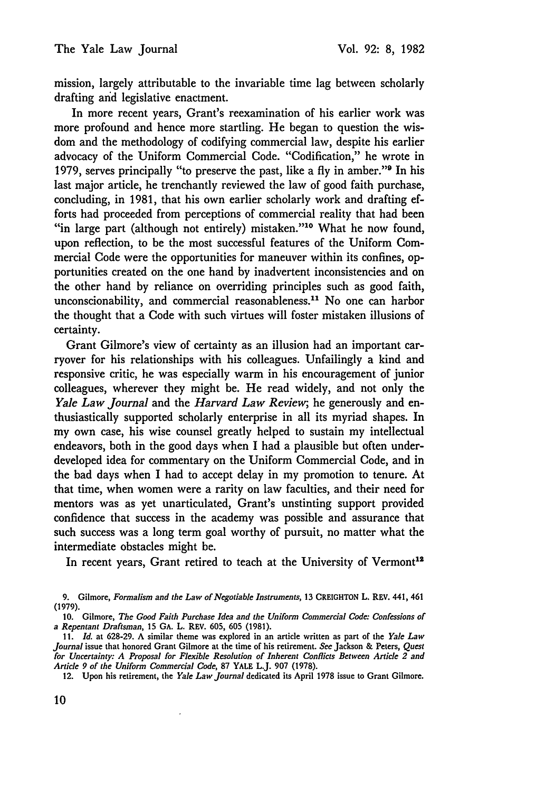mission, largely attributable to the invariable time lag between scholarly drafting and legislative enactment.

In more recent years, Grant's reexamination of his earlier work was more profound and hence more startling. He began to question the wisdom and the methodology of codifying commercial law, despite his earlier advocacy of the Uniform Commercial Code. "Codification," he wrote in 1979, serves principally "to preserve the past, like a fly in amber."9 In his last major article, he trenchantly reviewed the law of good faith purchase, concluding, in 1981, that his own earlier scholarly work and drafting efforts had proceeded from perceptions of commercial reality that had been "in large part (although not entirely) mistaken."10 What he now found, upon reflection, to be the most successful features of the Uniform Commercial Code were the opportunities for maneuver within its confines, opportunities created on the one hand by inadvertent inconsistencies and on the other hand by reliance on overriding principles such as good faith, unconscionability, and commercial reasonableness.<sup>11</sup> No one can harbor the thought that a Code with such virtues will foster mistaken illusions of certainty.

Grant Gilmore's view of certainty as an illusion had an important carryover for his relationships with his colleagues. Unfailingly a kind and responsive critic, he was especially warm in his encouragement of junior colleagues, wherever they might be. He read widely, and not only the *Yale Law Journal* and the *Harvard Law Review,* he generously and enthusiastically supported scholarly enterprise in all its myriad shapes. In my own case, his wise counsel greatly helped to sustain my intellectual endeavors, both in the good days when I had a plausible but often underdeveloped idea for commentary on the Uniform Commercial Code, and in the bad days when I had to accept delay in my promotion to tenure. At that time, when women were a rarity on law faculties, and their need for mentors was as yet unarticulated, Grant's unstinting support provided confidence that success in the academy was possible and assurance that such success was a long term goal worthy of pursuit, no matter what the intermediate obstacles might be.

In recent years, Grant retired to teach at the University of Vermont<sup>12</sup>

12. Upon his retirement, the *Yale Law Journal* dedicated its April **1978** issue to Grant Gilmore.

**<sup>9.</sup>** Gilmore, *Formalism and the Law of Negotiable Instruments,* **13 CREIGHTON** L. REV. 441, 461 (1979).

**<sup>10.</sup>** Gilmore, *The Good Faith Purchase Idea and the Uniform Commercial Code: Confessions of a Repentant Draftsman,* **15 GA.** L. REV. **605, 605 (1981).**

*<sup>11.</sup> Id.* at **628-29. A** similar theme was explored in an article written as part of the *Yale Law Journal* issue that honored Grant Gilmore at the time of his retirement. *See* Jackson **&** Peters, *Quest for Uncertainty: A Proposal for Flexible Resolution of Inherent Conflicts Between Article 2 and Article 9 of the Uniform Commercial Code,* **87** YALE L.J. **907 (1978).**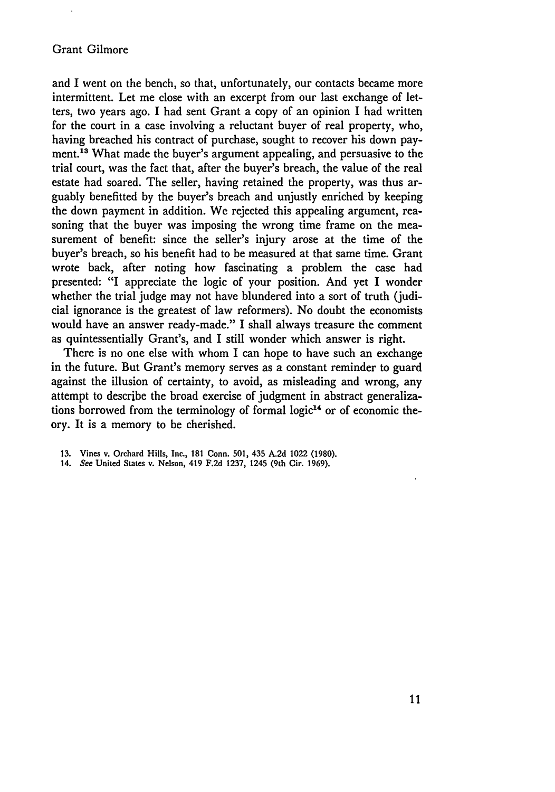## Grant Gilmore

and I went on the bench, so that, unfortunately, our contacts became more intermittent. Let me close with an excerpt from our last exchange of letters, two years ago. I had sent Grant a copy of an opinion I had written for the court in a case involving a reluctant buyer of real property, who, having breached his contract of purchase, sought to recover his down payment.<sup>13</sup> What made the buyer's argument appealing, and persuasive to the trial court, was the fact that, after the buyer's breach, the value of the real estate had soared. The seller, having retained the property, was thus arguably benefitted by the buyer's breach and unjustly enriched by keeping the down payment in addition. We rejected this appealing argument, reasoning that the buyer was imposing the wrong time frame on the measurement of benefit: since the seller's injury arose at the time of the buyer's breach, so his benefit had to be measured at that same time. Grant wrote back, after noting how fascinating a problem the case had presented: "I appreciate the logic of your position. And yet I wonder whether the trial judge may not have blundered into a sort of truth (judicial ignorance is the greatest of law reformers). No doubt the economists would have an answer ready-made." I shall always treasure the comment as quintessentially Grant's, and I still wonder which answer is right.

There is no one else with whom I can hope to have such an exchange in the future. But Grant's memory serves as a constant reminder to guard against the illusion of certainty, to avoid, as misleading and wrong, any attempt to describe the broad exercise of judgment in abstract generalizations borrowed from the terminology of formal logic<sup>14</sup> or of economic theory. It is a memory to be cherished.

<sup>13.</sup> Vines v. Orchard Hills, Inc., 181 Conn. 501, 435 A.2d 1022 (1980).

<sup>14.</sup> *See* United States v. Nelson, 419 F.2d 1237, 1245 (9th Cir. 1969).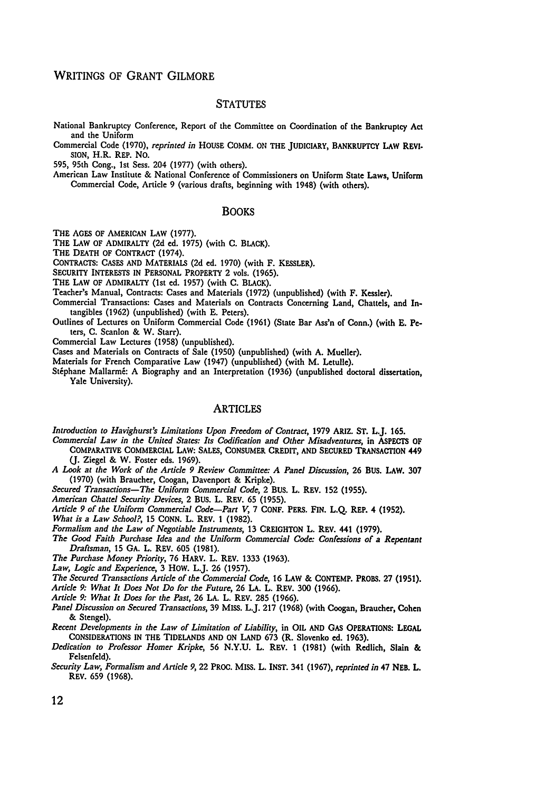### WRITINGS OF GRANT GILMORE

#### **STATUTES**

National Bankruptcy Conference, Report of the Committee on Coordination of the Bankruptcy Act and the Uniform

Commercial Code (1970), *reprinted in* **HOUSE** COMM. ON THE JUDICIARY, BANKRUPTCY LAW **REVI.** SION, H.R. REP. NO.

**595,** 95th Cong., 1st Sess. 204 (1977) (with others).

American Law Institute & National Conference of Commissioners on Uniform State Laws, Uniform Commercial Code, Article **9** (various drafts, beginning with 1948) (with others).

#### BOOKS

THE **AGES** OF AMERICAN LAW (1977).

THE LAW OF ADMIRALTY **(2d** ed. **1975)** (with **C.** BLACK).

THE DEATH OF CONTRACT (1974).

CONTRACTS: **CASES** AND MATERIALS (2d ed. 1970) (with F. KESSLER).

SECURITY INTERESTS **IN** PERSONAL PROPERTY 2 vols. **(1965).**

THE **LAW** OF ADMIRALTY (1st **ed.** 1957) (with **C.** BLACK).

Teacher's Manual, Contracts: Cases and Materials (1972) (unpublished) (with F. Kessler).

- Commercial Transactions: Cases and Materials on Contracts Concerning Land, Chattels, and Intangibles (1962) (unpublished) (with **E.** Peters).
- Outlines of Lectures on Uniform Commercial Code (1961) (State Bar Ass'n of Conn.) (with **E.** Peters, **C.** Scanlon & W. Starr).

Commercial Law Lectures (1958) (unpublished).

Cases and Materials on Contracts of Sale (1950) (unpublished) (with A. Mueller).

Materials for French Comparative Law (1947) (unpublished) (with M. Letulle).

Stéphane Mallarmé: A Biography and an Interpretation (1936) (unpublished doctoral dissertation, Yale University).

### ARTICLES

*Introduction to Havighurst's Limitations Upon Freedom of Contract,* 1979 ARIZ. **ST.** L.J. 165.

- *Commercial Law in the United States: Its Codification and Other Misadventures,* in **ASPECTS** OF COMPARATIVE COMMERCIAL LAW: **SALES, CONSUMER** CREDIT, **AND SECURED** TRANSACTION 449 **(J.** Ziegel & W. Foster eds. 1969).
- *A Look at the Work of the Article 9 Review Committee: A Panel Discussion,* **26 BUS.** LAW. **307 (1970)** (with Braucher, Coogan, Davenport **&** Kripke).
- *Secured Transactions-The Uniform Commercial Code,* 2 **BUS.** L. REV. **152 (1955).**

*American Chattel Security Devices,* 2 **BUS.** L. REV. **65 (1955).**

*Article 9 of the Uniform Commercial Code-Part V,* **7 CONF.** PERS. **FIN. L.Q.** REP. 4 **(1952).**

*What is a Law School?,* **15 CONN.** L. REV. **1 (1982).**

- *Formalism and the Law of Negotiable Instruments,* **13 CREIGHTON** L. REV. 441 **(1979).**
- *The Good Faith Purchase Idea and the Uniform Commercial Code: Confessions of a Repentant Draftsman,* **15 GA.** L. REV. **605 (1981).**

*The Purchase Money Priority,* **76** HARV. L. REV. **1333 (1963).**

*Law, Logic and Experience,* **3** HOW. L.J. **26 (1957).**

*The Secured Transactions Article of the Commercial Code,* **16** LAW **& CONTEMP.** PROBS. **27 (1951).**

*Article 9: What It Does Not Do for the Future,* **26 LA.** L. REV. **300 (1966).**

*Article 9: What It Does for the Past,* **26 LA.** L. REV. **285 (1966).**

*Panel Discussion on Secured Transactions,* **39** MISS. L.J. **217 (1968)** (with Coogan, Braucher, Cohen **&** Stengel).

*Recent Developments in the Law of Limitation of Liability,* in OIL **AND GAS OPERATIONS: LEGAL CONSIDERATIONS IN** THE **TIDELANDS AND ON LAND 673** (R. Slovenko ed. **1963).**

*Dedication to Professor Homer Kripke,* **56 N.Y.U.** L. REV. **1 (1981)** (with Redlich, Slain **&** Felsenfeld).

*Security Law, Formalism and Article 9,* **22** PROC. **MISS.** L. INST. 341 **(1967),** *reprinted in* 47 **NEB.** L. REV. **659 (1968).**